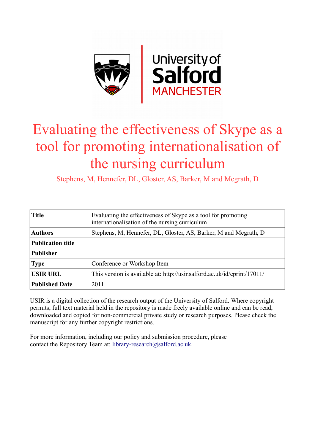

# Evaluating the effectiveness of Skype as a tool for promoting internationalisation of the nursing curriculum

Stephens, M, Hennefer, DL, Gloster, AS, Barker, M and Mcgrath, D

| <b>Title</b>             | Evaluating the effectiveness of Skype as a tool for promoting<br>internationalisation of the nursing curriculum |
|--------------------------|-----------------------------------------------------------------------------------------------------------------|
| <b>Authors</b>           | Stephens, M. Hennefer, DL, Gloster, AS, Barker, M and Mcgrath, D                                                |
| <b>Publication title</b> |                                                                                                                 |
| <b>Publisher</b>         |                                                                                                                 |
| <b>Type</b>              | Conference or Workshop Item                                                                                     |
| <b>USIR URL</b>          | This version is available at: http://usir.salford.ac.uk/id/eprint/17011/                                        |
| <b>Published Date</b>    | 2011                                                                                                            |

USIR is a digital collection of the research output of the University of Salford. Where copyright permits, full text material held in the repository is made freely available online and can be read, downloaded and copied for non-commercial private study or research purposes. Please check the manuscript for any further copyright restrictions.

For more information, including our policy and submission procedure, please contact the Repository Team at: [library-research@salford.ac.uk.](mailto:library-research@salford.ac.uk)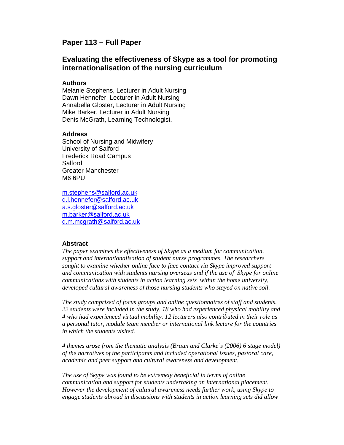# **Paper 113 – Full Paper**

# **Evaluating the effectiveness of Skype as a tool for promoting internationalisation of the nursing curriculum**

#### **Authors**

Melanie Stephens, Lecturer in Adult Nursing Dawn Hennefer, Lecturer in Adult Nursing Annabella Gloster, Lecturer in Adult Nursing Mike Barker, Lecturer in Adult Nursing Denis McGrath, Learning Technologist.

#### **Address**

School of Nursing and Midwifery University of Salford Frederick Road Campus **Salford** Greater Manchester M6 6PU

m.stephens@salford.ac.uk d.l.hennefer@salford.ac.uk a.s.gloster@salford.ac.uk m.barker@salford.ac.uk d.m.mcgrath@salford.ac.uk

#### **Abstract**

*The paper examines the effectiveness of Skype as a medium for communication, support and internationalisation of student nurse programmes. The researchers sought to examine whether online face to face contact via Skype improved support and communication with students nursing overseas and if the use of Skype for online communications with students in action learning sets within the home university, developed cultural awareness of those nursing students who stayed on native soil.* 

*The study comprised of focus groups and online questionnaires of staff and students. 22 students were included in the study, 18 who had experienced physical mobility and 4 who had experienced virtual mobility. 12 lecturers also contributed in their role as a personal tutor, module team member or international link lecture for the countries in which the students visited.* 

*4 themes arose from the thematic analysis (Braun and Clarke's (2006) 6 stage model) of the narratives of the participants and included operational issues, pastoral care, academic and peer support and cultural awareness and development.* 

*The use of Skype was found to be extremely beneficial in terms of online communication and support for students undertaking an international placement. However the development of cultural awareness needs further work, using Skype to engage students abroad in discussions with students in action learning sets did allow*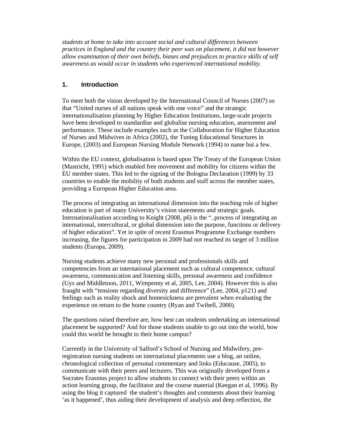*students at home to take into account social and cultural differences between practices in England and the country their peer was on placement, it did not however allow examination of their own beliefs, biases and prejudices to practice skills of self awareness as would occur in students who experienced international mobility.* 

## **1. Introduction**

To meet both the vision developed by the International Council of Nurses (2007) so that "United nurses of all nations speak with one voice" and the strategic internationalisation planning by Higher Education Institutions, large-scale projects have been developed to standardise and globalise nursing education, assessment and performance. These include examples such as the Collaboration for Higher Education of Nurses and Midwives in Africa (2002), the Tuning Educational Structures in Europe, (2003) and European Nursing Module Network (1994) to name but a few.

Within the EU context, globalisation is based upon The Treaty of the European Union (Mastricht, 1991) which enabled free movement and mobility for citizens within the EU member states. This led to the signing of the Bologna Declaration (1999) by 33 countries to enable the mobility of both students and staff across the member states, providing a European Higher Education area.

The process of integrating an international dimension into the teaching role of higher education is part of many University's vision statements and strategic goals. Internationalisation according to Knight (2008, p6) is the "..process of integrating an international, intercultural, or global dimension into the purpose, functions or delivery of higher education". Yet in spite of recent Erasmus Programme Exchange numbers increasing, the figures for participation in 2009 had not reached its target of 3 million students (Europa, 2009).

Nursing students achieve many new personal and professionals skills and competencies from an international placement such as cultural competence, cultural awareness, communication and listening skills, personal awareness and confidence (Uys and Middletoon, 2011, Wimpenny et al, 2005, Lee, 2004). However this is also fraught with "tensions regarding diversity and difference" (Lee, 2004, p121) and feelings such as reality shock and homesickness are prevalent when evaluating the experience on return to the home country (Ryan and Twibell, 2000).

The questions raised therefore are, how best can students undertaking an international placement be supported? And for those students unable to go out into the world, how could this world be brought to their home campus?

Currently in the University of Salford's School of Nursing and Midwifery, preregistration nursing students on international placements use a blog, an online, chronological collection of personal commentary and links (Educause, 2005), to communicate with their peers and lecturers. This was originally developed from a Socrates Erasmus project to allow students to connect with their peers within an action learning group, the facilitator and the course material (Keegan et al, 1996). By using the blog it captured the student's thoughts and comments about their learning 'as it happened', thus aiding their development of analysis and deep reflection, the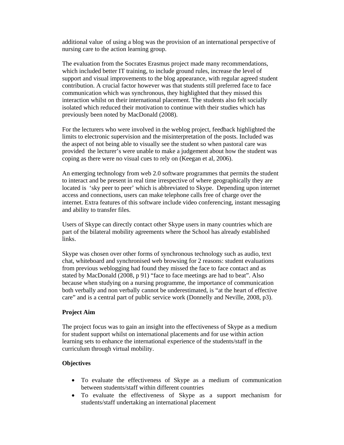additional value of using a blog was the provision of an international perspective of nursing care to the action learning group.

The evaluation from the Socrates Erasmus project made many recommendations, which included better IT training, to include ground rules, increase the level of support and visual improvements to the blog appearance, with regular agreed student contribution. A crucial factor however was that students still preferred face to face communication which was synchronous, they highlighted that they missed this interaction whilst on their international placement. The students also felt socially isolated which reduced their motivation to continue with their studies which has previously been noted by MacDonald (2008).

For the lecturers who were involved in the weblog project, feedback highlighted the limits to electronic supervision and the misinterpretation of the posts. Included was the aspect of not being able to visually see the student so when pastoral care was provided the lecturer's were unable to make a judgement about how the student was coping as there were no visual cues to rely on (Keegan et al, 2006).

An emerging technology from web 2.0 software programmes that permits the student to interact and be present in real time irrespective of where geographically they are located is 'sky peer to peer' which is abbreviated to Skype. Depending upon internet access and connections, users can make telephone calls free of charge over the internet. Extra features of this software include video conferencing, instant messaging and ability to transfer files.

Users of Skype can directly contact other Skype users in many countries which are part of the bilateral mobility agreements where the School has already established links.

Skype was chosen over other forms of synchronous technology such as audio, text chat, whiteboard and synchronised web browsing for 2 reasons: student evaluations from previous weblogging had found they missed the face to face contact and as stated by MacDonald (2008, p 91) "face to face meetings are had to beat". Also because when studying on a nursing programme, the importance of communication both verbally and non verbally cannot be underestimated, is "at the heart of effective care" and is a central part of public service work (Donnelly and Neville, 2008, p3).

#### **Project Aim**

The project focus was to gain an insight into the effectiveness of Skype as a medium for student support whilst on international placements and for use within action learning sets to enhance the international experience of the students/staff in the curriculum through virtual mobility.

#### **Objectives**

- To evaluate the effectiveness of Skype as a medium of communication between students/staff within different countries
- To evaluate the effectiveness of Skype as a support mechanism for students/staff undertaking an international placement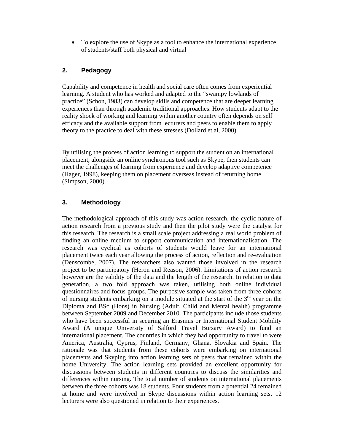• To explore the use of Skype as a tool to enhance the international experience of students/staff both physical and virtual

## **2. Pedagogy**

Capability and competence in health and social care often comes from experiential learning. A student who has worked and adapted to the "swampy lowlands of practice" (Schon, 1983) can develop skills and competence that are deeper learning experiences than through academic traditional approaches. How students adapt to the reality shock of working and learning within another country often depends on self efficacy and the available support from lecturers and peers to enable them to apply theory to the practice to deal with these stresses (Dollard et al, 2000).

By utilising the process of action learning to support the student on an international placement, alongside an online synchronous tool such as Skype, then students can meet the challenges of learning from experience and develop adaptive competence (Hager, 1998), keeping them on placement overseas instead of returning home (Simpson, 2000).

# **3. Methodology**

The methodological approach of this study was action research, the cyclic nature of action research from a previous study and then the pilot study were the catalyst for this research. The research is a small scale project addressing a real world problem of finding an online medium to support communication and internationalisation. The research was cyclical as cohorts of students would leave for an international placement twice each year allowing the process of action, reflection and re-evaluation (Denscombe, 2007). The researchers also wanted those involved in the research project to be participatory (Heron and Reason, 2006). Limitations of action research however are the validity of the data and the length of the research. In relation to data generation, a two fold approach was taken, utilising both online individual questionnaires and focus groups. The purposive sample was taken from three cohorts of nursing students embarking on a module situated at the start of the  $3<sup>rd</sup>$  year on the Diploma and BSc (Hons) in Nursing (Adult, Child and Mental health) programme between September 2009 and December 2010. The participants include those students who have been successful in securing an Erasmus or International Student Mobility Award (A unique University of Salford Travel Bursary Award) to fund an international placement. The countries in which they had opportunity to travel to were America, Australia, Cyprus, Finland, Germany, Ghana, Slovakia and Spain. The rationale was that students from these cohorts were embarking on international placements and Skyping into action learning sets of peers that remained within the home University. The action learning sets provided an excellent opportunity for discussions between students in different countries to discuss the similarities and differences within nursing. The total number of students on international placements between the three cohorts was 18 students. Four students from a potential 24 remained at home and were involved in Skype discussions within action learning sets. 12 lecturers were also questioned in relation to their experiences.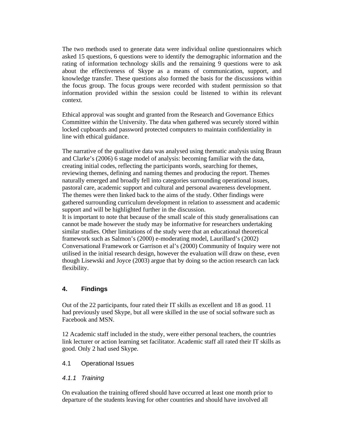The two methods used to generate data were individual online questionnaires which asked 15 questions, 6 questions were to identify the demographic information and the rating of information technology skills and the remaining 9 questions were to ask about the effectiveness of Skype as a means of communication, support, and knowledge transfer. These questions also formed the basis for the discussions within the focus group. The focus groups were recorded with student permission so that information provided within the session could be listened to within its relevant context.

Ethical approval was sought and granted from the Research and Governance Ethics Committee within the University. The data when gathered was securely stored within locked cupboards and password protected computers to maintain confidentiality in line with ethical guidance.

The narrative of the qualitative data was analysed using thematic analysis using Braun and Clarke's (2006) 6 stage model of analysis: becoming familiar with the data, creating initial codes, reflecting the participants words, searching for themes, reviewing themes, defining and naming themes and producing the report. Themes naturally emerged and broadly fell into categories surrounding operational issues, pastoral care, academic support and cultural and personal awareness development. The themes were then linked back to the aims of the study. Other findings were gathered surrounding curriculum development in relation to assessment and academic support and will be highlighted further in the discussion.

It is important to note that because of the small scale of this study generalisations can cannot be made however the study may be informative for researchers undertaking similar studies. Other limitations of the study were that an educational theoretical framework such as Salmon's (2000) e-moderating model, Laurillard's (2002) Conversational Framework or Garrison et al's (2000) Community of Inquiry were not utilised in the initial research design, however the evaluation will draw on these, even though Lisewski and Joyce (2003) argue that by doing so the action research can lack flexibility.

#### **4. Findings**

Out of the 22 participants, four rated their IT skills as excellent and 18 as good. 11 had previously used Skype, but all were skilled in the use of social software such as Facebook and MSN.

12 Academic staff included in the study, were either personal teachers, the countries link lecturer or action learning set facilitator. Academic staff all rated their IT skills as good. Only 2 had used Skype.

#### 4.1 Operational Issues

#### *4.1.1 Training*

On evaluation the training offered should have occurred at least one month prior to departure of the students leaving for other countries and should have involved all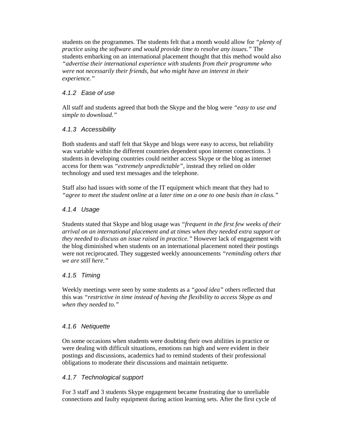students on the programmes. The students felt that a month would allow for *"plenty of practice using the software and would provide time to resolve any issues."* The students embarking on an international placement thought that this method would also *"advertise their international experience with students from their programme who were not necessarily their friends, but who might have an interest in their experience."*

# *4.1.2 Ease of use*

All staff and students agreed that both the Skype and the blog were *"easy to use and simple to download."* 

## *4.1.3 Accessibility*

Both students and staff felt that Skype and blogs were easy to access, but reliability was variable within the different countries dependent upon internet connections. 3 students in developing countries could neither access Skype or the blog as internet access for them was *"extremely unpredictable",* instead they relied on older technology and used text messages and the telephone.

Staff also had issues with some of the IT equipment which meant that they had to *"agree to meet the student online at a later time on a one to one basis than in class."*

## *4.1.4 Usage*

Students stated that Skype and blog usage was *"frequent in the first few weeks of their arrival on an international placement and at times when they needed extra support or they needed to discuss an issue raised in practice."* However lack of engagement with the blog diminished when students on an international placement noted their postings were not reciprocated. They suggested weekly announcements *"reminding others that we are still here."*

#### *4.1.5 Timing*

Weekly meetings were seen by some students as a *"good idea"* others reflected that this was *"restrictive in time instead of having the flexibility to access Skype as and when they needed to."* 

#### *4.1.6 Netiquette*

On some occasions when students were doubting their own abilities in practice or were dealing with difficult situations, emotions ran high and were evident in their postings and discussions, academics had to remind students of their professional obligations to moderate their discussions and maintain netiquette.

#### *4.1.7 Technological support*

For 3 staff and 3 students Skype engagement became frustrating due to unreliable connections and faulty equipment during action learning sets. After the first cycle of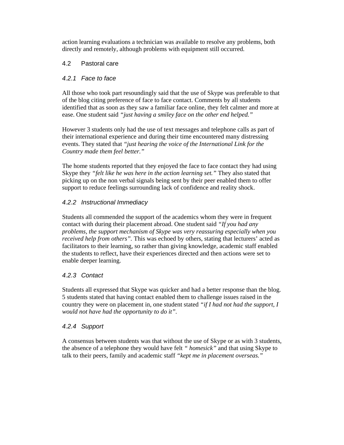action learning evaluations a technician was available to resolve any problems, both directly and remotely, although problems with equipment still occurred.

## 4.2 Pastoral care

## *4.2.1 Face to face*

All those who took part resoundingly said that the use of Skype was preferable to that of the blog citing preference of face to face contact. Comments by all students identified that as soon as they saw a familiar face online, they felt calmer and more at ease. One student said *"just having a smiley face on the other end helped."*

However 3 students only had the use of text messages and telephone calls as part of their international experience and during their time encountered many distressing events. They stated that *"just hearing the voice of the International Link for the Country made them feel better."*

The home students reported that they enjoyed the face to face contact they had using Skype they *"felt like he was here in the action learning set."* They also stated that picking up on the non verbal signals being sent by their peer enabled them to offer support to reduce feelings surrounding lack of confidence and reality shock.

## *4.2.2 Instructional Immediacy*

Students all commended the support of the academics whom they were in frequent contact with during their placement abroad. One student said *"If you had any problems, the support mechanism of Skype was very reassuring especially when you received help from others".* This was echoed by others, stating that lecturers' acted as facilitators to their learning, so rather than giving knowledge, academic staff enabled the students to reflect, have their experiences directed and then actions were set to enable deeper learning.

#### *4.2.3 Contact*

Students all expressed that Skype was quicker and had a better response than the blog. 5 students stated that having contact enabled them to challenge issues raised in the country they were on placement in, one student stated *"if I had not had the support, I would not have had the opportunity to do it".* 

#### *4.2.4 Support*

A consensus between students was that without the use of Skype or as with 3 students, the absence of a telephone they would have felt *" homesick"* and that using Skype to talk to their peers, family and academic staff *"kept me in placement overseas."*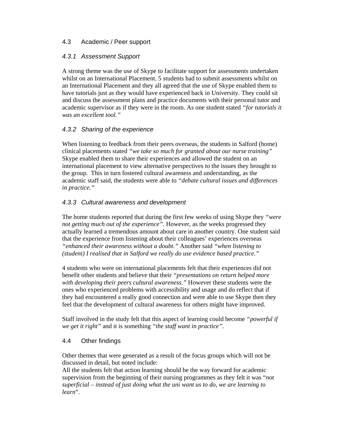## 4.3 Academic / Peer support

## *4.3.1 Assessment Support*

A strong theme was the use of Skype to facilitate support for assessments undertaken whilst on an International Placement. 5 students had to submit assessments whilst on an International Placement and they all agreed that the use of Skype enabled them to have tutorials just as they would have experienced back in University. They could sit and discuss the assessment plans and practice documents with their personal tutor and academic supervisor as if they were in the room. As one student stated *"for tutorials it was an excellent tool."*

## *4.3.2 Sharing of the experience*

When listening to feedback from their peers overseas, the students in Salford (home) clinical placements stated *"we take so much for granted about our nurse training"* Skype enabled them to share their experiences and allowed the student on an international placement to view alternative perspectives to the issues they brought to the group. This in turn fostered cultural awareness and understanding, as the academic staff said, the students were able to *"debate cultural issues and differences in practice."*

#### *4.3.3 Cultural awareness and development*

The home students reported that during the first few weeks of using Skype they *"were not getting much out of the experience".* However, as the weeks progressed they actually learned a tremendous amount about care in another country. One student said that the experience from listening about their colleagues' experiences overseas *"enhanced their awareness without a doubt."* Another said *"when listening to (student) I realised that in Salford we really do use evidence based practice."*

4 students who were on international placements felt that their experiences did not benefit other students and believe that their *"presentations on return helped more with developing their peers cultural awareness."* However these students were the ones who experienced problems with accessibility and usage and do reflect that if they had encountered a really good connection and were able to use Skype then they feel that the development of cultural awareness for others might have improved.

Staff involved in the study felt that this aspect of learning could become *"powerful if we get it right"* and it is something *"the staff want in practice".*

#### 4.4 Other findings

Other themes that were generated as a result of the focus groups which will not be discussed in detail, but noted include:

All the students felt that action learning should be the way forward for academic supervision from the beginning of their nursing programmes as they felt it was "*not superficial – instead of just doing what the uni want us to do, we are learning to learn*".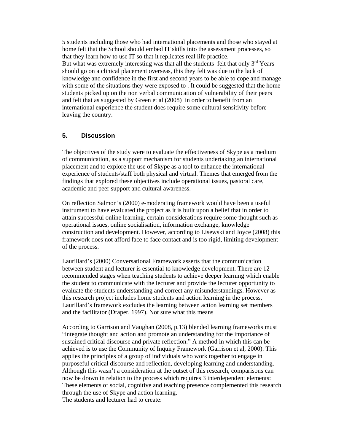5 students including those who had international placements and those who stayed at home felt that the School should embed IT skills into the assessment processes, so that they learn how to use IT so that it replicates real life practice. But what was extremely interesting was that all the students felt that only  $3<sup>rd</sup>$  Years should go on a clinical placement overseas, this they felt was due to the lack of knowledge and confidence in the first and second years to be able to cope and manage with some of the situations they were exposed to . It could be suggested that the home students picked up on the non verbal communication of vulnerability of their peers and felt that as suggested by Green et al (2008) in order to benefit from an international experience the student does require some cultural sensitivity before leaving the country.

#### **5. Discussion**

The objectives of the study were to evaluate the effectiveness of Skype as a medium of communication, as a support mechanism for students undertaking an international placement and to explore the use of Skype as a tool to enhance the international experience of students/staff both physical and virtual. Themes that emerged from the findings that explored these objectives include operational issues, pastoral care, academic and peer support and cultural awareness.

On reflection Salmon's (2000) e-moderating framework would have been a useful instrument to have evaluated the project as it is built upon a belief that in order to attain successful online learning, certain considerations require some thought such as operational issues, online socialisation, information exchange, knowledge construction and development. However, according to Lisewski and Joyce (2008) this framework does not afford face to face contact and is too rigid, limiting development of the process.

Laurillard's (2000) Conversational Framework asserts that the communication between student and lecturer is essential to knowledge development. There are 12 recommended stages when teaching students to achieve deeper learning which enable the student to communicate with the lecturer and provide the lecturer opportunity to evaluate the students understanding and correct any misunderstandings. However as this research project includes home students and action learning in the process, Laurillard's framework excludes the learning between action learning set members and the facilitator (Draper, 1997). Not sure what this means

According to Garrison and Vaughan (2008, p.13) blended learning frameworks must "integrate thought and action and promote an understanding for the importance of sustained critical discourse and private reflection." A method in which this can be achieved is to use the Community of Inquiry Framework (Garrison et al, 2000). This applies the principles of a group of individuals who work together to engage in purposeful critical discourse and reflection, developing learning and understanding. Although this wasn't a consideration at the outset of this research, comparisons can now be drawn in relation to the process which requires 3 interdependent elements: These elements of social, cognitive and teaching presence complemented this research through the use of Skype and action learning. The students and lecturer had to create: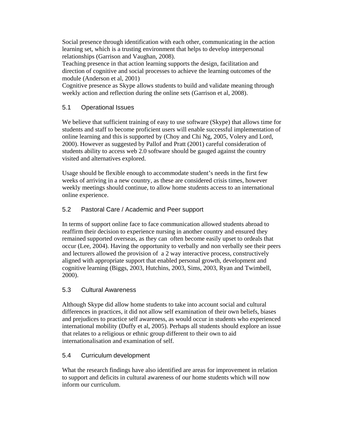Social presence through identification with each other, communicating in the action learning set, which is a trusting environment that helps to develop interpersonal relationships (Garrison and Vaughan, 2008).

Teaching presence in that action learning supports the design, facilitation and direction of cognitive and social processes to achieve the learning outcomes of the module (Anderson et al, 2001)

Cognitive presence as Skype allows students to build and validate meaning through weekly action and reflection during the online sets (Garrison et al, 2008).

# 5.1 Operational Issues

We believe that sufficient training of easy to use software (Skype) that allows time for students and staff to become proficient users will enable successful implementation of online learning and this is supported by (Choy and Chi Ng, 2005, Volery and Lord, 2000). However as suggested by Pallof and Pratt (2001) careful consideration of students ability to access web 2.0 software should be gauged against the country visited and alternatives explored.

Usage should be flexible enough to accommodate student's needs in the first few weeks of arriving in a new country, as these are considered crisis times, however weekly meetings should continue, to allow home students access to an international online experience.

## 5.2 Pastoral Care / Academic and Peer support

In terms of support online face to face communication allowed students abroad to reaffirm their decision to experience nursing in another country and ensured they remained supported overseas, as they can often become easily upset to ordeals that occur (Lee, 2004). Having the opportunity to verbally and non verbally see their peers and lecturers allowed the provision of a 2 way interactive process, constructively aligned with appropriate support that enabled personal growth, development and cognitive learning (Biggs, 2003, Hutchins, 2003, Sims, 2003, Ryan and Twimbell, 2000).

#### 5.3 Cultural Awareness

Although Skype did allow home students to take into account social and cultural differences in practices, it did not allow self examination of their own beliefs, biases and prejudices to practice self awareness, as would occur in students who experienced international mobility (Duffy et al, 2005). Perhaps all students should explore an issue that relates to a religious or ethnic group different to their own to aid internationalisation and examination of self.

#### 5.4 Curriculum development

What the research findings have also identified are areas for improvement in relation to support and deficits in cultural awareness of our home students which will now inform our curriculum.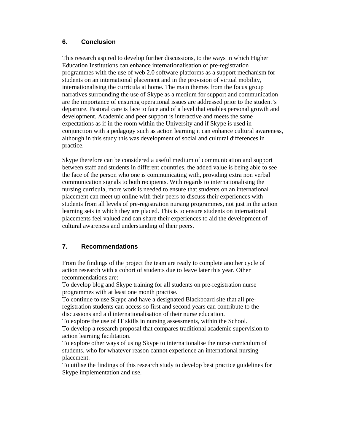## **6. Conclusion**

This research aspired to develop further discussions, to the ways in which Higher Education Institutions can enhance internationalisation of pre-registration programmes with the use of web 2.0 software platforms as a support mechanism for students on an international placement and in the provision of virtual mobility, internationalising the curricula at home. The main themes from the focus group narratives surrounding the use of Skype as a medium for support and communication are the importance of ensuring operational issues are addressed prior to the student's departure. Pastoral care is face to face and of a level that enables personal growth and development. Academic and peer support is interactive and meets the same expectations as if in the room within the University and if Skype is used in conjunction with a pedagogy such as action learning it can enhance cultural awareness, although in this study this was development of social and cultural differences in practice.

Skype therefore can be considered a useful medium of communication and support between staff and students in different countries, the added value is being able to see the face of the person who one is communicating with, providing extra non verbal communication signals to both recipients. With regards to internationalising the nursing curricula, more work is needed to ensure that students on an international placement can meet up online with their peers to discuss their experiences with students from all levels of pre-registration nursing programmes, not just in the action learning sets in which they are placed. This is to ensure students on international placements feel valued and can share their experiences to aid the development of cultural awareness and understanding of their peers.

# **7. Recommendations**

From the findings of the project the team are ready to complete another cycle of action research with a cohort of students due to leave later this year. Other recommendations are:

To develop blog and Skype training for all students on pre-registration nurse programmes with at least one month practise.

To continue to use Skype and have a designated Blackboard site that all preregistration students can access so first and second years can contribute to the discussions and aid internationalisation of their nurse education.

To explore the use of IT skills in nursing assessments, within the School. To develop a research proposal that compares traditional academic supervision to action learning facilitation.

To explore other ways of using Skype to internationalise the nurse curriculum of students, who for whatever reason cannot experience an international nursing placement.

To utilise the findings of this research study to develop best practice guidelines for Skype implementation and use.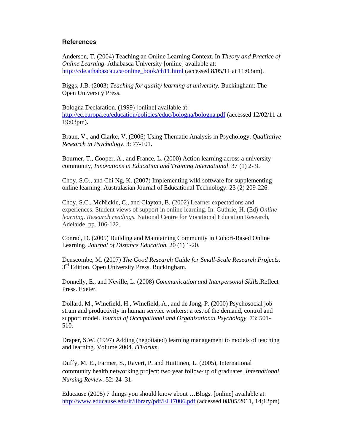#### **References**

Anderson, T. (2004) Teaching an Online Learning Context. In *Theory and Practice of Online Learning. Athabasca University [online] available at:* http://cde.athabascau.ca/online\_book/ch11.html (accessed 8/05/11 at 11:03am).

Biggs, J.B. (2003) *Teaching for quality learning at university.* Buckingham: The Open University Press.

Bologna Declaration. (1999) [online] available at: http://ec.europa.eu/education/policies/educ/bologna/bologna.pdf (accessed 12/02/11 at 19:03pm).

Braun, V., and Clarke, V. (2006) Using Thematic Analysis in Psychology. *Qualitative Research in Psychology*. 3: 77-101.

Bourner, T., Cooper, A., and France, L. (2000) Action learning across a university community, *Innovations in Education and Training International*. 37 (1) 2- 9.

Choy, S.O., and Chi Ng, K. (2007) Implementing wiki software for supplementing online learning. Australasian Journal of Educational Technology. 23 (2) 209-226.

Choy, S.C., McNickle, C., and Clayton, B. (2002) Learner expectations and experiences. Student views of support in online learning*.* In: Guthrie, H. (Ed) *Online learning. Research readings.* National Centre for Vocational Education Research, Adelaide, pp. 106-122.

Conrad, D. (2005) Building and Maintaining Community in Cohort-Based Online Learning. *Journal of Distance Education.* 20 (1) 1-20.

Denscombe, M. (2007) *The Good Research Guide for Small-Scale Research Projects.*  3<sup>rd</sup> Edition. Open University Press. Buckingham.

Donnelly, E., and Neville, L. (2008) *Communication and Interpersonal Skills.*Reflect Press. Exeter.

Dollard, M., Winefield, H., Winefield, A., and de Jong, P. (2000) Psychosocial job strain and productivity in human service workers: a test of the demand, control and support model. *Journal of Occupational and Organisational Psychology.* 73: 501- 510.

Draper, S.W. (1997) Adding (negotiated) learning management to models of teaching and learning. Volume 2004. *ITForum.*

Duffy, M. E., Farmer, S., Ravert, P. and Huittinen, L. (2005), International community health networking project: two year follow-up of graduates. *International Nursing Review.* 52: 24–31.

Educause (2005) 7 things you should know about …Blogs. [online] available at: http://www.educause.edu/ir/library/pdf/ELI7006.pdf (accessed 08/05/2011, 14;12pm)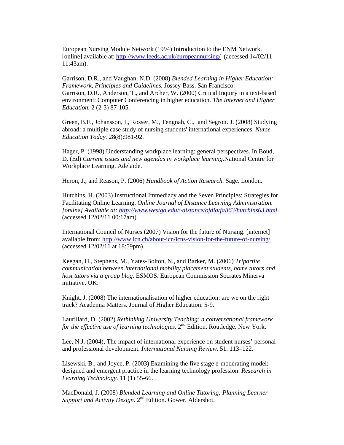European Nursing Module Network (1994) Introduction to the ENM Network. [online] available at: http://www.leeds.ac.uk/europeannursing/ (accessed 14/02/11 11:43am).

Garrison, D.R., and Vaughan, N.D. (2008) *Blended Learning in Higher Education: Framework, Principles and Guidelines.* Jossey Bass. San Francisco. Garrison, D.R., Anderson, T., and Archer, W. (2000) Critical Inquiry in a text-based environment: Computer Conferencing in higher education. *The Internet and Higher Education.* 2 (2-3) 87-105.

Green, B.F., Johansson, I., Rosser, M., Tengnah, C., and Segrott. J. (2008) Studying abroad: a multiple case study of nursing students' international experiences. *Nurse Education Today.* 28(8):981-92.

Hager, P. (1998) Understanding workplace learning: general perspectives. In Boud, D. (Ed) *Current issues and new agendas in workplace learning.*National Centre for Workplace Learning. Adelaide.

Heron, J., and Reason, P. (2006) *Handbook of Action Research.* Sage. London.

Hutchins, H. (2003) Instructional Immediacy and the Seven Principles: Strategies for Facilitating Online Learning. *Online Journal of Distance Learning Administration. [online] Available at: http://www.westga.edu/~distance/ojdla/fall63/hutchins63.html* (accessed 12/02/11 00:17am).

International Council of Nurses (2007) Vision for the future of Nursing. [internet] available from: http://www.icn.ch/about-icn/icns-vision-for-the-future-of-nursing/ (accessed 12/02/11 at 18:59pm).

Keegan, H., Stephens, M., Yates-Bolton, N., and Barker, M. (2006) *Tripartite communication between international mobility placement students, home tutors and host tutors via a group blog.* ESMOS. European Commission Socrates Minerva initiative. UK.

Knight, J. (2008) The internationalisation of higher education: are we on the right track? Academia Matters. Journal of Higher Education. 5-9.

Laurillard, D. (2002) *Rethinking University Teaching: a conversational framework for the effective use of learning technologies.* 2<sup>nd</sup> Edition. Routledge. New York.

Lee, N.J. (2004), The impact of international experience on student nurses' personal and professional development. *International Nursing Review*. 51: 113–122.

Lisewski, B., and Joyce, P. (2003) Examining the five stage e-moderating model: designed and emergent practice in the learning technology profession. *Research in Learning Technology*. 11 (1) 55-66.

MacDonald, J. (2008) *Blended Learning and Online Tutoring; Planning Learner Support and Activity Design.* 2<sup>nd</sup> Edition. Gower. Aldershot.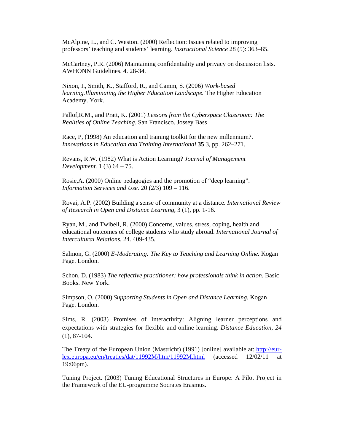McAlpine, L., and C. Weston. (2000) Reflection: Issues re*l*ated to improving professors' teaching and students' learning. *Instructional Science* 28 (5): 363–85.

McCartney, P.R. (2006) Maintaining confidentiality and privacy on discussion lists. AWHONN Guidelines. 4. 28-34.

Nixon, I., Smith, K., Stafford, R., and Camm, S. (2006) *Work-based learning.Illuminating the Higher Education Landscape.* The Higher Education Academy. York.

Pallof,R.M., and Pratt, K. (2001) *Lessons from the Cyberspace Classroom: The Realities of Online Teaching*. San Francisco. Jossey Bass

Race, P, (1998) An education and training toolkit for the new millennium?. *Innovations in Education and Training International* **35** 3, pp. 262–271.

Revans, R.W. (1982) What is Action Learning? *Journal of Management Development.* 1 (3) 64 – 75.

Rosie,A. (2000) Online pedagogies and the promotion of "deep learning". *Information Services and Use.* 20 (2/3) 109 – 116.

Rovai, A.P. (2002) Building a sense of community at a distance. *International Review of Research in Open and Distance Learning*, 3 (1), pp. 1-16.

Ryan, M., and Twibell, R. (2000) Concerns, values, stress, coping, health and educational outcomes of college students who study abroad. *International Journal of Intercultural Relations.* 24. 409-435.

Salmon, G. (2000) *E-Moderating: The Key to Teaching and Learning Online.* Kogan Page. London.

Schon, D. (1983) *The reflective practitioner: how professionals think in action.* Basic Books. New York.

Simpson, O. (2000) *Supporting Students in Open and Distance Learning.* Kogan Page. London.

Sims, R. (2003) Promises of Interactivity: Aligning learner perceptions and expectations with strategies for flexible and online learning. *Distance Education, 24*  (1), 87-104.

The Treaty of the European Union (Mastricht) (1991) [online] available at: http://eurlex.europa.eu/en/treaties/dat/11992M/htm/11992M.html (accessed 12/02/11 at 19:06pm).

Tuning Project. (2003) Tuning Educational Structures in Europe: A Pilot Project in the Framework of the EU-programme Socrates Erasmus.